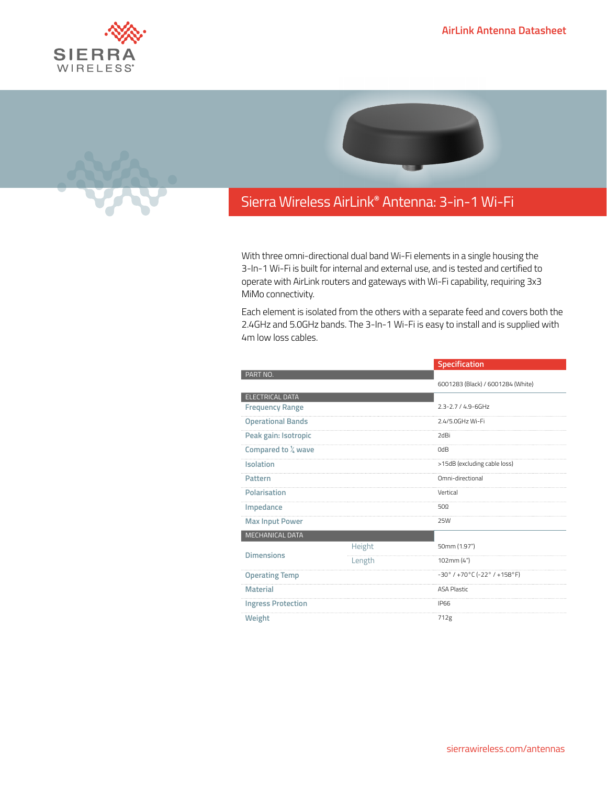





## Sierra Wireless **EMBEDDED MODULES HL SERIES** AirLink**®** Antenna: 3-in-1 Wi-Fi

With three omni-directional dual band Wi-Fi elements in a single housing the 3-In-1 Wi-Fi is built for internal and external use, and is tested and certified to operate with AirLink routers and gateways with Wi-Fi capability, requiring 3x3 MiMo connectivity.

Each element is isolated from the others with a separate feed and covers both the 2.4GHz and 5.0GHz bands. The 3-In-1 Wi-Fi is easy to install and is supplied with 4m low loss cables.

|                                |        | <b>Specification</b>                                                  |
|--------------------------------|--------|-----------------------------------------------------------------------|
| PART NO.                       |        |                                                                       |
|                                |        | 6001283 (Black) / 6001284 (White)                                     |
| <b>ELECTRICAL DATA</b>         |        |                                                                       |
| <b>Frequency Range</b>         |        | $2.3 - 2.7 / 4.9 - 6$ GHz                                             |
| <b>Operational Bands</b>       |        | 2.4/5.0GHz Wi-Fi                                                      |
| Peak gain: Isotropic           |        | 2dBi                                                                  |
| Compared to $\frac{1}{4}$ wave |        | 0dB                                                                   |
| Isolation                      |        | >15dB (excluding cable loss)                                          |
| Pattern                        |        | Omni-directional                                                      |
| Polarisation                   |        | Vertical                                                              |
| Impedance                      |        | $50\Omega$                                                            |
| <b>Max Input Power</b>         |        | <b>25W</b>                                                            |
| MECHANICAL DATA                |        |                                                                       |
| <b>Dimensions</b>              | Height | 50mm (1.97")                                                          |
|                                | Length | 102mm (4")                                                            |
| <b>Operating Temp</b>          |        | $-30^{\circ}$ / +70 $^{\circ}$ C (-22 $^{\circ}$ / +158 $^{\circ}$ F) |
| <b>Material</b>                |        | <b>ASA Plastic</b>                                                    |
| <b>Ingress Protection</b>      |        | <b>IP66</b>                                                           |
| Weight                         |        | 712g                                                                  |